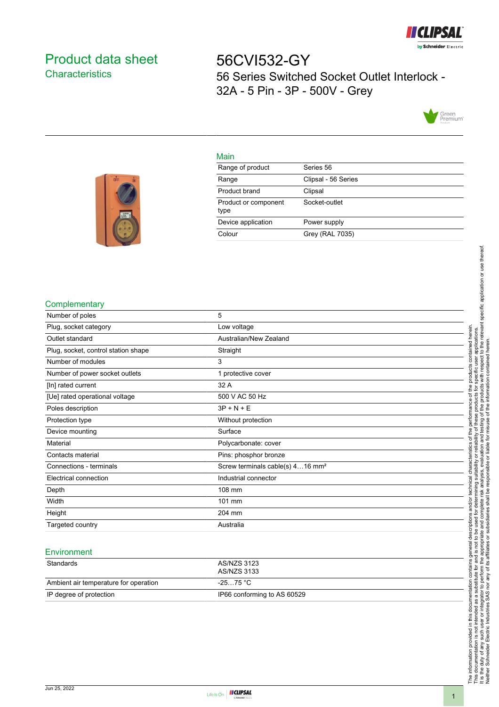

# <span id="page-0-0"></span>Product data sheet **Characteristics**

56CVI532-GY 56 Series Switched Socket Outlet Interlock - 32A - 5 Pin - 3P - 500V - Grey



#### Main

| Range of product             | Series 56           |
|------------------------------|---------------------|
| Range                        | Clipsal - 56 Series |
| Product brand                | Clipsal             |
| Product or component<br>type | Socket-outlet       |
| Device application           | Power supply        |
| Colour                       | Grey (RAL 7035)     |
|                              |                     |



#### **Complementary**

| Number of poles                     | 5                                            |
|-------------------------------------|----------------------------------------------|
| Plug, socket category               | Low voltage                                  |
| Outlet standard                     | Australian/New Zealand                       |
| Plug, socket, control station shape | Straight                                     |
| Number of modules                   | 3                                            |
| Number of power socket outlets      | 1 protective cover                           |
| [In] rated current                  | 32 A                                         |
| [Ue] rated operational voltage      | 500 V AC 50 Hz                               |
| Poles description                   | $3P + N + E$                                 |
| Protection type                     | Without protection                           |
| Device mounting                     | Surface                                      |
| Material                            | Polycarbonate: cover                         |
| Contacts material                   | Pins: phosphor bronze                        |
| Connections - terminals             | Screw terminals cable(s) 416 mm <sup>2</sup> |
| Electrical connection               | Industrial connector                         |
| Depth                               | 108 mm                                       |
| Width                               | 101 mm                                       |
| Height                              | 204 mm                                       |
| Targeted country                    | Australia                                    |
|                                     |                                              |

#### **Environment**

| Standards                             | AS/NZS 3123<br>AS/NZS 3133  |
|---------------------------------------|-----------------------------|
| Ambient air temperature for operation | -25…75 °C                   |
| IP degree of protection               | IP66 conforming to AS 60529 |